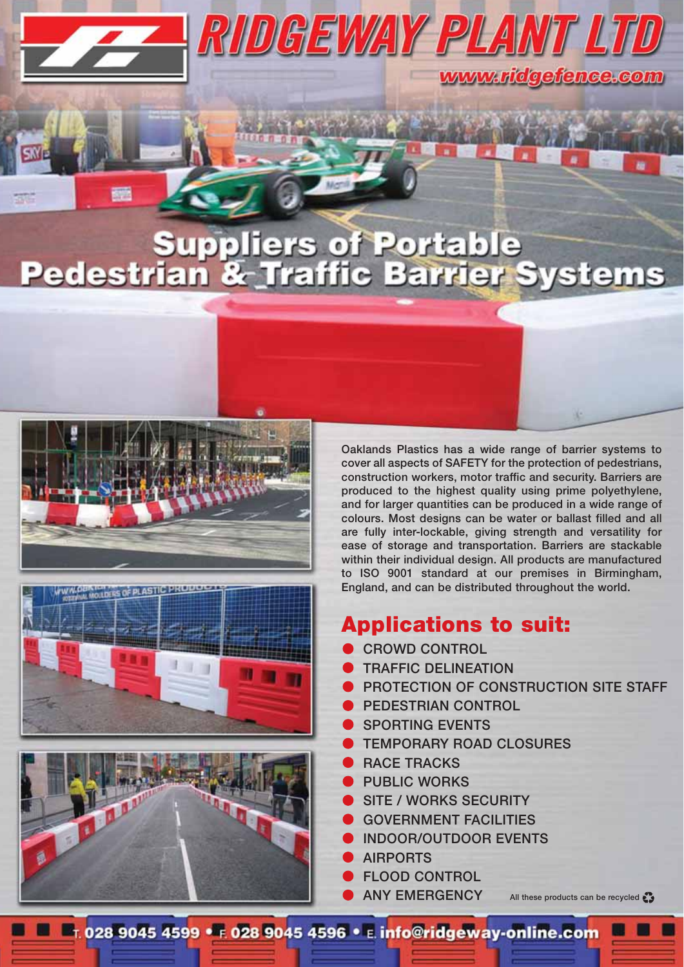# uppliers of Portable<br>In & Traffic Barrier Systems Pedestri

RIDGEWAY PLANT LI







**Oaklands Plastics has a wide range of barrier systems to cover all aspects of SAFETY for the protection of pedestrians, construction workers, motor traffic and security. Barriers are produced to the highest quality using prime polyethylene, and for larger quantities can be produced in a wide range of colours. Most designs can be water or ballast filled and all are fully inter-lockable, giving strength and versatility for ease of storage and transportation. Barriers are stackable within their individual design. All products are manufactured to ISO 9001 standard at our premises in Birmingham, England, and can be distributed throughout the world.**

www.ridgefence.com

#### **Applications to suit:**

- **CROWD CONTROL**
- **TRAFFIC DELINEATION**
- **PROTECTION OF CONSTRUCTION SITE STAFF**
- **PEDESTRIAN CONTROL**
- **SPORTING EVENTS**
- **TEMPORARY ROAD CLOSURES**
- **RACE TRACKS**
- **PUBLIC WORKS**
- **SITE / WORKS SECURITY**
- **GOVERNMENT FACILITIES**
- **INDOOR/OUTDOOR EVENTS**
- **AIRPORTS**
- **FLOOD CONTROL**
- **ANY EMERGENCY**

**All these products can be recycled** 

**E F.028 9045 4599 · 6 028 9045 4596 · E. info@ridgeway-online.com**